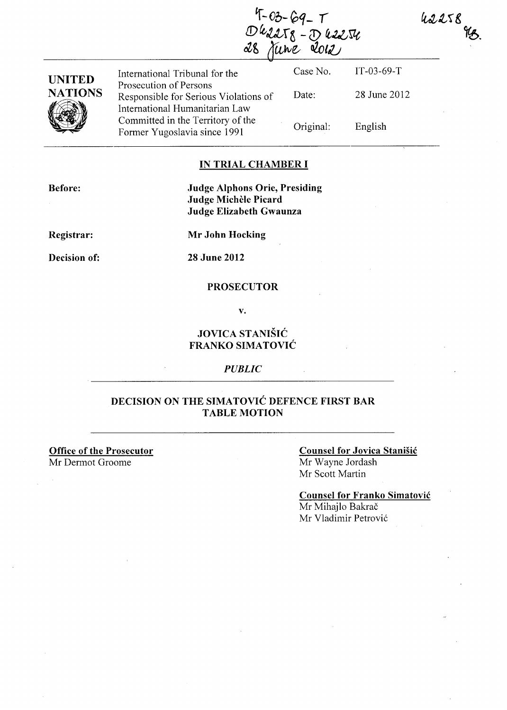42258

4-03-69\_T<br>Dk2258 - D k2254<br>8 June 2012

| <b>UNITED</b>  | International Tribunal for the<br>Prosecution of Persons                | Case No.  | $IT-03-69-T$ |
|----------------|-------------------------------------------------------------------------|-----------|--------------|
| <b>NATIONS</b> | Responsible for Serious Violations of<br>International Humanitarian Law | Date:     | 28 June 2012 |
|                | Committed in the Territory of the<br>Former Yugoslavia since 1991       | Original: | English      |

### **IN TRIAL CHAMBER I**

**Before: Judge Alphons Orie, Presiding Judge Michele Picard Judge Elizabeth Gwaunza** 

**Registrar:** 

**Mr John Hocking** 

**Decision of:** 

28 June **2012** 

#### **PROSECUTOR**

v.

### **JOVICA STANISIC FRANKO SIMATOVIC**

#### *PUBLIC*

### **DECISION ON THE SIMATOVIC DEFENCE FIRST BAR TABLE MOTION**

**Office of the Prosecutor**  Mr Dermot Groome

## **Counsel for Jovica Stanisic**  Mr Wayne Jordash

Mr Scott Martin

**Counsel for Franko Simatovic**  Mr Mihajlo Bakrač

Mr Vladimir Petrović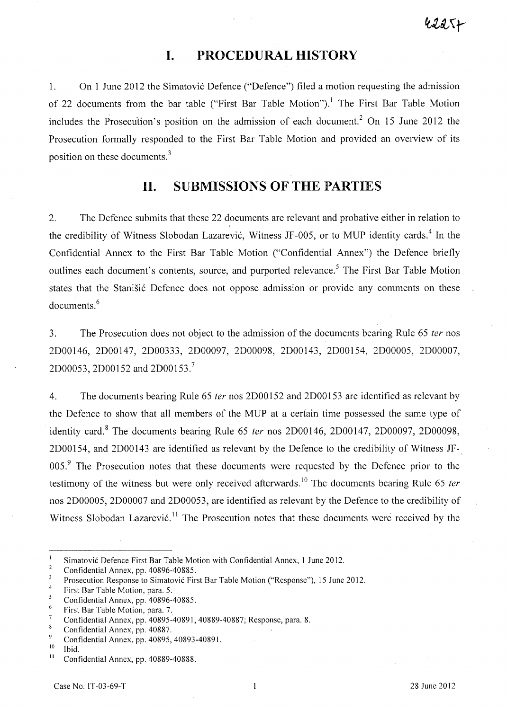## **I. PROCEDURAL HISTORY**

1. On 1 June 2012 the Simatović Defence ("Defence") filed a motion requesting the admission of 22 documents from the bar table ("First Bar Table Motion").<sup>1</sup> The First Bar Table Motion includes the Prosecution's position on the admission of each document.<sup>2</sup> On 15 June 2012 the Prosecution formally responded to the First Bar Table Motion and provided an overview of its position on these documents.<sup>3</sup>

## **11. SUBMISSIONS OF THE PARTIES**

2. The Defence submits that these 22 documents are relevant and probative either in relation to the credibility of Witness Slobodan Lazarević, Witness JF-005, or to MUP identity cards.<sup>4</sup> In the Confidential Annex to the First Bar Table Motion ("Confidential Annex") the Defence briefly outlines each document's contents, source, and purported relevance.<sup>5</sup> The First Bar Table Motion states that the Stanišić Defence does not oppose admission or provide any comments on these documents.<sup>6</sup>

3. The Prosecution does not object to the admission of the documents bearing Rule 65 fer nos 2D00146, 2D00147, 2D00333, 2D00097, 2D00098, 2D00143, 2D00154, 2D00005, 2D00007, 2D00053, 2D00152 and 2D00153. <sup>7</sup>

4. The documents bearing Rule 65 fer nos 2D00152 and 2D00153 are identified as relevant by . the Defence to show that all members of the MUP at a certain time possessed the same type of identity card.<sup>8</sup> The documents bearing Rule 65 ter nos 2D00146, 2D00147, 2D00097, 2D00098, 2D00154, and 2D00143 are identified as relevant by the Defence to the credibility of Witness JF-. 005.<sup>9</sup> The Prosecution notes that these documents were requested by the Defence prior to the testimony of the witness but were only received afterwards.<sup>10</sup> The documents bearing Rule 65 ter nos *2DOOOOS,* 2D00007 and 2D00053, are identified as relevant by the Defence to the credibility of Witness Slobodan Lazarević.<sup>11</sup> The Prosecution notes that these documents were received by the

 $\mathbf{1}$ Simatovi6 Defence First Bar Table Motion with Confidential Annex, 1 June 2012.

 $\overline{2}$ Confidential Annex, pp. 40896-40885.

 $\overline{\mathbf{3}}$ Prosecution Response to Simatovi6 First Bar Table Motion ("Response"), 15 June 2012.

 $\overline{4}$ First Bar Table Motion, para. 5.

 $\overline{\mathbf{S}}$ Confidential Annex, pp. 40896-40885.

<sup>6</sup> First Bar Table Motion, para. 7.

 $\overline{7}$ Confidential Annex, pp. 40895-40891,40889-40887; Response, para. 8.

 $\overline{\mathbf{8}}$ Confidential Annex, pp. 40887.

 $\mathbf{Q}$ Confidential Annex, pp. 40895, 40893-40891.

 $\frac{10}{11}$  Ibid.

Confidential Annex, pp. 40889-40888.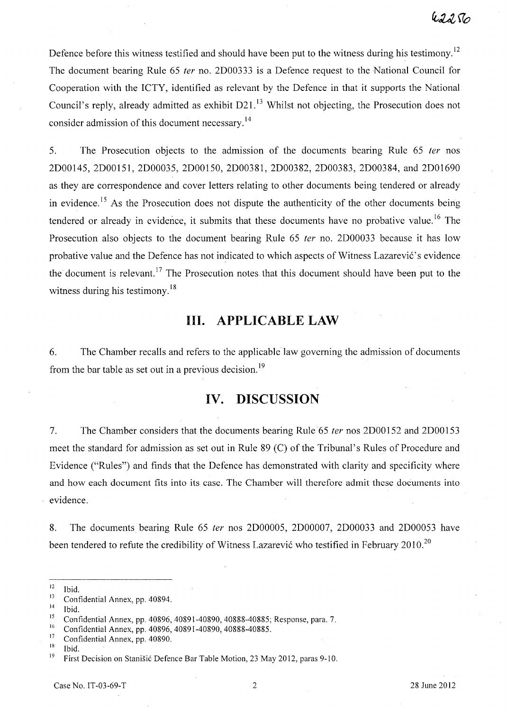Defence before this witness testified and should have been put to the witness during his testimony.<sup>12</sup> The document bearing Rule 65 fer no. 2D00333 is a Defence request to the National Council for Cooperation with the ICTY, identified as relevant by the Defence in that it supports the National Council's reply, already admitted as exhibit D21.<sup>13</sup> Whilst not objecting, the Prosecution does not consider admission of this document necessary.<sup>14</sup>

5. The Prosecution objects to the admission of the documents bearing Rule 65 fer nos 2D00145, 2D00151, 2D00035, 2D00150, 2D00381, 2D00382, 2D00383, 2D00384, and 2D01690 as they are correspondence and cover letters relating to other documents being tendered or already in evidence.<sup>15</sup> As the Prosecution does not dispute the authenticity of the other documents being tendered or already in evidence, it submits that these documents have no probative value.<sup>16</sup> The Prosecution also objects to the document bearing Rule 65 *ter* no. 2D00033 because it has low probative value and the Defence has not indicated to which aspects of Witness Lazarević's evidence the document is relevant.<sup>17</sup> The Prosecution notes that this document should have been put to the witness during his testimony.<sup>18</sup>

# **Ill. APPLICABLE LAW**

6. The Chamber recalls and refers to the applicable law governing the admission of documents from the bar table as set out in a previous decision.<sup>19</sup>

# **IV. DISCUSSION**

7. The Chamber considers that the documents bearing Rule 65 fer nos 2D00152 and 2D00153 meet the standard for admission as set out in Rule 89 (C) of the Tribunal's Rules of Procedure and Evidence ("Rules") and finds that the Defence has demonstrated with clarity and specificity where and how each document fits into its case. The Chamber will therefore admit these documents into evidence.

8. The documents bearing Rule 65 fer nos 2D00005, 2D00007, 2D00033 and 2D00053 have been tendered to refute the credibility of Witness Lazarević who testified in February 2010.<sup>20</sup>

 $\frac{14}{15}$  Ibid.

 $\frac{12}{13}$  Ibid.

 $\frac{13}{14}$  Confidential Annex, pp. 40894.

<sup>&</sup>lt;sup>15</sup> Confidential Annex, pp. 40896, 40891-40890, 40888-40885; Response, para. 7.

<sup>&</sup>lt;sup>16</sup> Confidential Annex, pp. 40896, 40891-40890, 40888-40885.

 $\frac{17}{18}$  Confidential Annex, pp. 40890.

 $\frac{18}{19}$  Ibid.

<sup>19</sup>First Decision on Stanisic Defence Bar Table Motion, 23 May 2012, paras 9-10.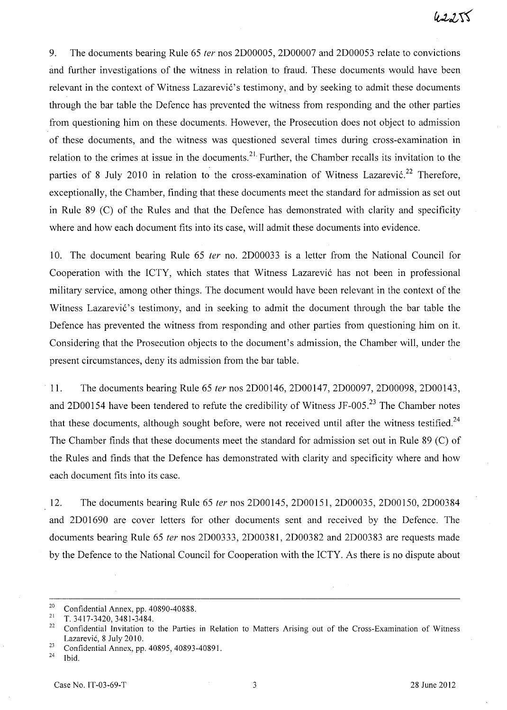9. The documents bearing Rule 65 fer nos 2D00005, 2D00007 and 2D00053 relate to convictions and further investigations of the witness in relation to fraud. These documents would have been relevant in the context of Witness Lazarević's testimony, and by seeking to admit these documents through the bar table the Defence has prevented the witness from responding and the other parties from questioning him on these documents. However, the Prosecution does not object to admission of these documents, and the witness was questioned several times during cross-examination in relation to the crimes at issue in the documents.<sup>21</sup> Further, the Chamber recalls its invitation to the parties of 8 July 2010 in relation to the cross-examination of Witness Lazarević.<sup>22</sup> Therefore, exceptionally, the Chamber, finding that these documents meet the standard for admission as set out in Rule 89 (C) of the Rules and that the Defence has demonstrated with clarity and specificity where and how each document fits into its case, will admit these documents into evidence.

10. The document bearing Rule 65 fer no. 2D00033 is a letter from the National Council for Cooperation with the ICTY, which states that Witness Lazarević has not been in professional military service, among other things. The document would have been relevant in the context of the Witness Lazarević's testimony, and in seeking to admit the document through the bar table the Defence has prevented the witness from responding and other parties from questioning him on it. Considering that the Prosecution objects to the document's admission, the Chamber will, under the present circumstances, deny its admission from the bar table.

11. The documents bearing Rule 65 fer nos 2D00146, 2D00147, 2D00097, 2D00098, 2D00143, and 2D00154 have been tendered to refute the credibility of Witness JF-005.<sup>23</sup> The Chamber notes that these documents, although sought before, were not received until after the witness testified.<sup>24</sup> The Chamber finds that these documents meet the standard for admission set out in Rule 89 (C) of the Rules and finds that the Defence has demonstrated with clarity and specificity where and how each document fits into its case.

12. The documents bearing Rule 65 *ter* nos 2D00145, 2D00151, 2D00035, 2D00150, 2D00384 and 2D01690 are cover letters for other documents sent and received by the Defence. The documents bearing Rule 65 fer nos 2D00333, 2D00381, 2D00382 and 2D00383 are requests made by the Defence to the National Council for Cooperation with the ICTY. As there is no dispute about

<sup>&</sup>lt;sup>20</sup> Confidential Annex, pp. 40890-40888.

<sup>&</sup>lt;sup>21</sup> T. 3417-3420, 3481-3484.

<sup>22</sup> Confidential Invitation to the Parties in Relation to Matters Arising out of the Cross-Examination of Witness Lazarevic, 8 July 2010.

<sup>&</sup>lt;sup>23</sup> Confidential Annex, pp. 40895, 40893-40891.

Ibid.